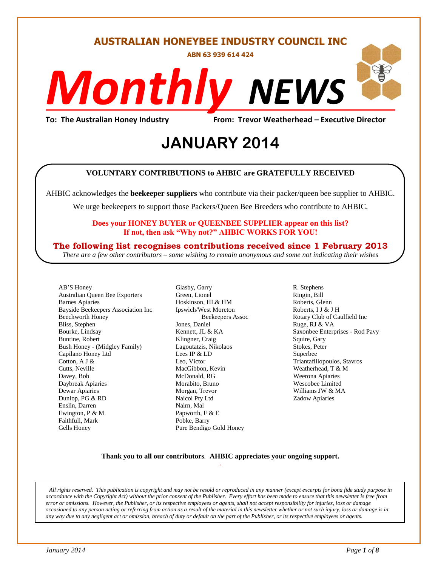# **AUSTRALIAN HONEYBEE INDUSTRY COUNCIL INC**

**ABN 63 939 614 424**

# *NEWS Monthly*

**To: The Australian Honey Industry From: Trevor Weatherhead – Executive Director**

# evor weathern<br>2014 **JANUARY 2014**

#### **VOLUNTARY CONTRIBUTIONS to AHBIC are GRATEFULLY RECEIVED**

AHBIC acknowledges the **beekeeper suppliers** who contribute via their packer/queen bee supplier to AHBIC.

We urge beekeepers to support those Packers/Queen Bee Breeders who contribute to AHBIC.

#### **Does your HONEY BUYER or QUEENBEE SUPPLIER appear on this list? If not, then ask "Why not?" AHBIC WORKS FOR YOU!**

#### **The following list recognises contributions received since 1 February 2013**

*There are a few other contributors – some wishing to remain anonymous and some not indicating their wishes*

AB'S Honey Australian Queen Bee Exporters Barnes Apiaries Bayside Beekeepers Association Inc Beechworth Honey Bliss, Stephen Bourke, Lindsay Buntine, Robert Bush Honey - (Midgley Family) Capilano Honey Ltd Cotton, A J & Cutts, Neville Davey, Bob Daybreak Apiaries Dewar Apiaries Dunlop, PG & RD Enslin, Darren Ewington, P & M Faithfull, Mark Gells Honey

Glasby, Garry Green, Lionel Hoskinson, HL& HM Ipswich/West Moreton Beekeepers Assoc Jones, Daniel Kennett, JL & KA Klingner, Craig Lagoutatzis, Nikolaos Lees IP & LD Leo, Victor MacGibbon, Kevin McDonald, RG Morabito, Bruno Morgan, Trevor Naicol Pty Ltd Nairn, Mal Papworth, F & E Pobke, Barry Pure Bendigo Gold Honey

R. Stephens Ringin, Bill Roberts, Glenn Roberts, I J & J H Rotary Club of Caulfield Inc Ruge, RJ & VA Saxonbee Enterprises - Rod Pavy Squire, Gary Stokes, Peter Superbee Triantafillopoulos, Stavros Weatherhead, T & M Weerona Apiaries Wescobee Limited Williams JW & MA Zadow Apiaries

#### **Thank you to all our contributors***.* **AHBIC appreciates your ongoing support.** .

*All rights reserved. This publication is copyright and may not be resold or reproduced in any manner (except excerpts for bona fide study purpose in accordance with the Copyright Act) without the prior consent of the Publisher. Every effort has been made to ensure that this newsletter is free from error or omissions. However, the Publisher, or its respective employees or agents, shall not accept responsibility for injuries, loss or damage occasioned to any person acting or referring from action as a result of the material in this newsletter whether or not such injury, loss or damage is in any way due to any negligent act or omission, breach of duty or default on the part of the Publisher, or its respective employees or agents.*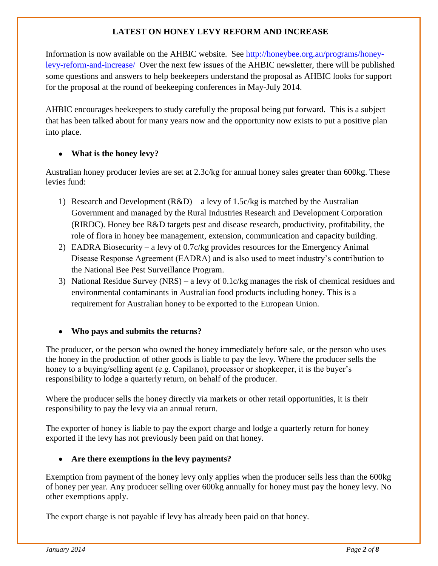# **LATEST ON HONEY LEVY REFORM AND INCREASE**

Information is now available on the AHBIC website. See [http://honeybee.org.au/programs/honey](http://honeybee.org.au/programs/honey-levy-reform-and-increase/)[levy-reform-and-increase/](http://honeybee.org.au/programs/honey-levy-reform-and-increase/) Over the next few issues of the AHBIC newsletter, there will be published some questions and answers to help beekeepers understand the proposal as AHBIC looks for support for the proposal at the round of beekeeping conferences in May-July 2014.

AHBIC encourages beekeepers to study carefully the proposal being put forward. This is a subject that has been talked about for many years now and the opportunity now exists to put a positive plan into place.

# **What is the honey levy?**

Australian honey producer levies are set at 2.3c/kg for annual honey sales greater than 600kg. These levies fund:

- 1) Research and Development  $(R&D) a$  levy of 1.5c/kg is matched by the Australian Government and managed by the Rural Industries Research and Development Corporation (RIRDC). Honey bee R&D targets pest and disease research, productivity, profitability, the role of flora in honey bee management, extension, communication and capacity building.
- 2) EADRA Biosecurity a levy of 0.7c/kg provides resources for the Emergency Animal Disease Response Agreement (EADRA) and is also used to meet industry's contribution to the National Bee Pest Surveillance Program.
- 3) National Residue Survey (NRS) a levy of 0.1c/kg manages the risk of chemical residues and environmental contaminants in Australian food products including honey. This is a requirement for Australian honey to be exported to the European Union.

# **Who pays and submits the returns?**

The producer, or the person who owned the honey immediately before sale, or the person who uses the honey in the production of other goods is liable to pay the levy. Where the producer sells the honey to a buying/selling agent (e.g. Capilano), processor or shopkeeper, it is the buyer's responsibility to lodge a quarterly return, on behalf of the producer.

Where the producer sells the honey directly via markets or other retail opportunities, it is their responsibility to pay the levy via an annual return.

The exporter of honey is liable to pay the export charge and lodge a quarterly return for honey exported if the levy has not previously been paid on that honey.

# **Are there exemptions in the levy payments?**

Exemption from payment of the honey levy only applies when the producer sells less than the 600kg of honey per year. Any producer selling over 600kg annually for honey must pay the honey levy. No other exemptions apply.

The export charge is not payable if levy has already been paid on that honey.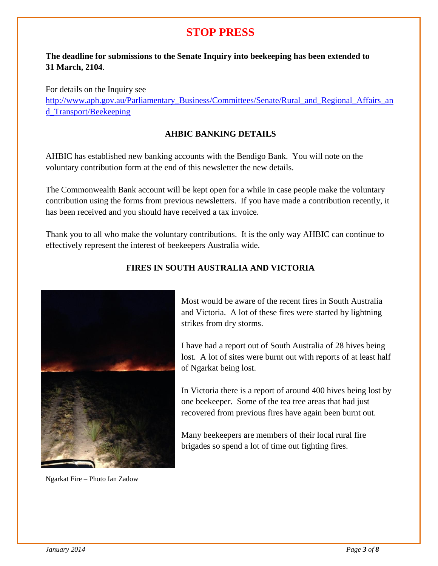# **STOP PRESS**

# **The deadline for submissions to the Senate Inquiry into beekeeping has been extended to 31 March, 2104**.

For details on the Inquiry see [http://www.aph.gov.au/Parliamentary\\_Business/Committees/Senate/Rural\\_and\\_Regional\\_Affairs\\_an](http://www.aph.gov.au/Parliamentary_Business/Committees/Senate/Rural_and_Regional_Affairs_and_Transport/Beekeeping) [d\\_Transport/Beekeeping](http://www.aph.gov.au/Parliamentary_Business/Committees/Senate/Rural_and_Regional_Affairs_and_Transport/Beekeeping)

### **AHBIC BANKING DETAILS**

AHBIC has established new banking accounts with the Bendigo Bank. You will note on the voluntary contribution form at the end of this newsletter the new details.

The Commonwealth Bank account will be kept open for a while in case people make the voluntary contribution using the forms from previous newsletters. If you have made a contribution recently, it has been received and you should have received a tax invoice.

Thank you to all who make the voluntary contributions. It is the only way AHBIC can continue to effectively represent the interest of beekeepers Australia wide.



Ngarkat Fire – Photo Ian Zadow

#### **FIRES IN SOUTH AUSTRALIA AND VICTORIA**

Most would be aware of the recent fires in South Australia and Victoria. A lot of these fires were started by lightning strikes from dry storms.

I have had a report out of South Australia of 28 hives being lost. A lot of sites were burnt out with reports of at least half of Ngarkat being lost.

In Victoria there is a report of around 400 hives being lost by one beekeeper. Some of the tea tree areas that had just recovered from previous fires have again been burnt out.

Many beekeepers are members of their local rural fire brigades so spend a lot of time out fighting fires.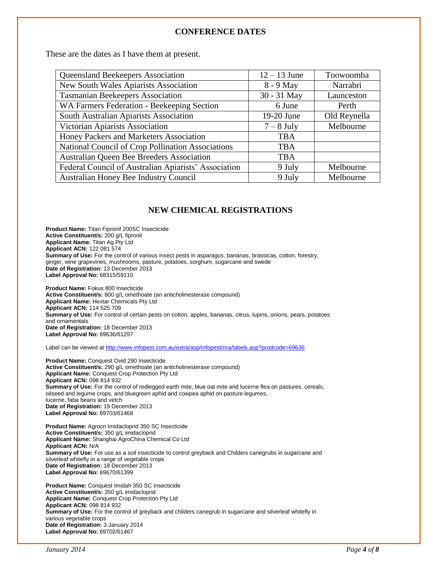#### **CONFERENCE DATES**

These are the dates as I have them at present.

| Queensland Beekeepers Association<br>$12 - 13$ June  |              | Toowoomba    |  |
|------------------------------------------------------|--------------|--------------|--|
|                                                      |              |              |  |
| New South Wales Apiarists Association                | 8 - 9 May    | Narrabri     |  |
| <b>Tasmanian Beekeepers Association</b>              | 30 - 31 May  | Launceston   |  |
| WA Farmers Federation - Beekeeping Section           | 6 June       | Perth        |  |
| South Australian Apiarists Association               | 19-20 June   | Old Reynella |  |
| Victorian Apiarists Association                      | $7 - 8$ July | Melbourne    |  |
| Honey Packers and Marketers Association              | <b>TBA</b>   |              |  |
| National Council of Crop Pollination Associations    | TBA          |              |  |
| Australian Queen Bee Breeders Association            | <b>TBA</b>   |              |  |
| Federal Council of Australian Apiarists' Association | 9 July       | Melbourne    |  |
| Australian Honey Bee Industry Council                | 9 July       | Melbourne    |  |

#### **NEW CHEMICAL REGISTRATIONS**

**Product Name:** Titan Fipronil 200SC Insecticide **Active Constituent/s:** 200 g/L fipronil **Applicant Name:** Titan Ag Pty Ltd **Applicant ACN:** 122 081 574 **Summary of Use:** For the control of various insect pests in asparagus, bananas, brassicas, cotton, forestry, ginger, wine grapevines, mushrooms, pasture, potatoes, sorghum, sugarcane and swede **Date of Registration:** 13 December 2013 **Label Approval No:** 68315/59110

**Product Name:** Fokus 800 Insecticide **Active Constituent/s:** 800 g/L omethoate (an anticholinesterase compound) **Applicant Name:** Hextar Chemicals Pty Ltd **Applicant ACN:** 114 525 709 **Summary of Use:** For control of certain pests on cotton, apples, bananas, citrus, lupins, onions, pears, potatoes and ornamentals **Date of Registration:** 18 December 2013 **Label Approval No:** 69636/61297

Label can be viewed at<http://www.infopest.com.au/extra/asp/infopest/nra/labels.asp?prodcode=69636>

**Product Name:** Conquest Ovid 290 Insecticide **Active Constituent/s:** 290 g/L omethoate (an anticholinesterase compound) **Applicant Name:** Conquest Crop Protection Pty Ltd **Applicant ACN:** 098 814 932 **Summary of Use:** For the control of redlegged earth mite, blue oat mite and lucerne flea on pastures, cereals, oilseed and legume crops, and bluegreen aphid and cowpea aphid on pasture legumes, lucerne, faba beans and vetch **Date of Registration:** 19 December 2013 **Label Approval No:** 69703/61468

**Product Name:** Agrocn Imidacloprid 350 SC Insecticide **Active Constituent/s:** 350 g/L imidacloprid **Applicant Name:** Shanghai AgroChina Chemical Co Ltd **Applicant ACN:** N/A **Summary of Use:** For use as a soil insecticide to control greyback and Childers canegrubs in sugarcane and silverleaf whitefly in a range of vegetable crops **Date of Registration:** 18 December 2013 **Label Approval No:** 69670/61399

**Product Name:** Conquest Imidah 350 SC Insecticide **Active Constituent/s:** 350 g/L imidacloprid **Applicant Name:** Conquest Crop Protection Pty Ltd **Applicant ACN:** 098 814 932 **Summary of Use:** For the control of greyback and childers canegrub in sugarcane and silverleaf whitefly in various vegetable crops **Date of Registration:** 3 January 2014 **Label Approval No:** 69702/61467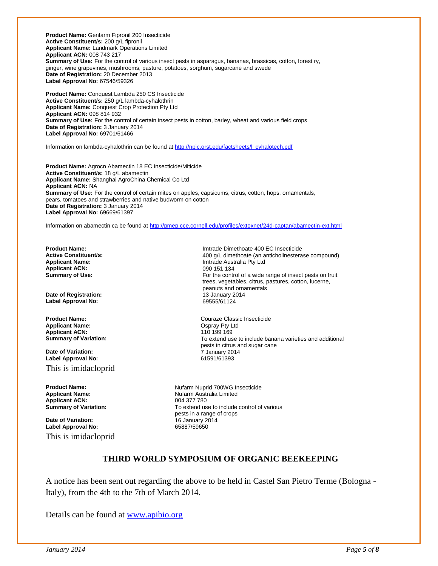**Product Name:** Genfarm Fipronil 200 Insecticide **Active Constituent/s:** 200 g/L fipronil **Applicant Name:** Landmark Operations Limited **Applicant ACN:** 008 743 217 **Summary of Use:** For the control of various insect pests in asparagus, bananas, brassicas, cotton, forest ry, ginger, wine grapevines, mushrooms, pasture, potatoes, sorghum, sugarcane and swede **Date of Registration:** 20 December 2013 **Label Approval No:** 67546/59326

**Product Name:** Conquest Lambda 250 CS Insecticide **Active Constituent/s:** 250 g/L lambda-cyhalothrin **Applicant Name:** Conquest Crop Protection Pty Ltd **Applicant ACN:** 098 814 932 **Summary of Use:** For the control of certain insect pests in cotton, barley, wheat and various field crops **Date of Registration:** 3 January 2014 **Label Approval No:** 69701/61466

Information on lambda-cyhalothrin can be found a[t http://npic.orst.edu/factsheets/l\\_cyhalotech.pdf](http://npic.orst.edu/factsheets/l_cyhalotech.pdf)

**Product Name:** Agrocn Abamectin 18 EC Insecticide/Miticide **Active Constituent/s:** 18 g/L abamectin **Applicant Name:** Shanghai AgroChina Chemical Co Ltd **Applicant ACN:** NA **Summary of Use:** For the control of certain mites on apples, capsicums, citrus, cotton, hops, ornamentals, pears, tomatoes and strawberries and native budworm on cotton **Date of Registration:** 3 January 2014 **Label Approval No:** 69669/61397

Information on abamectin ca be found a[t http://pmep.cce.cornell.edu/profiles/extoxnet/24d-captan/abamectin-ext.html](http://pmep.cce.cornell.edu/profiles/extoxnet/24d-captan/abamectin-ext.html)

**Applicant ACN:** 

**Date of Registration: Label Approval No:** 69555/61124

**Applicant Name:** Compared Applicant ACN: Compared Applicant ACN: Compared Applicant ACN: Compared Applicant ACN: Compared Applicant ACN: Compared Applicant ACN: Compared Applicant ACN: Compared Applicant ACN: Compared App **Applicant ACN:**<br> **Summary of Variation:** 

**Date of Variation:** 7 January 2014 **Label Approval No:** 

This is imidacloprid

**Applicant ACN:**<br>Summary of Variation:

**Date of Variation: Date of Variation: 16 January 2014**<br> **Label Approval No:** 65887/59650 **Label Approval No:** This is imidacloprid

**Product Name: Product Name: Implement Constituently**<br> **Active Constituent/s: IMPLE 2009** 400 0/1 dimethoate (an anticholinestera **Active Constituent/s:** <br> **Applicant Name: Applicant Name: Applicant Name: Applicant Name: Applicant Name: Applicant Name: Applicant Name: Applicant Name: Applicant Name: Applicant Name: Applicant Name: Imtrade Australia Pty Ltd**<br>090 151 134 **Summary of Use:** For the control of a wide range of insect pests on fruit trees, vegetables, citrus, pastures, cotton, lucerne, peanuts and ornamentals<br>13 January 2014

**Product Name: Courage Classic Insecticide Summary of Variation:** To extend use to include banana varieties and additional pests in citrus and sugar cane

**Product Name: Nufarm Nuprid 700WG Insecticide Applicant Name:** Nufarm Australia Limited To extend use to include control of various pests in a range of crops

#### **THIRD WORLD SYMPOSIUM OF ORGANIC BEEKEEPING**

A notice has been sent out regarding the above to be held in Castel San Pietro Terme (Bologna - Italy), from the 4th to the 7th of March 2014.

Details can be found at [www.apibio.org](http://www.apibio.org/)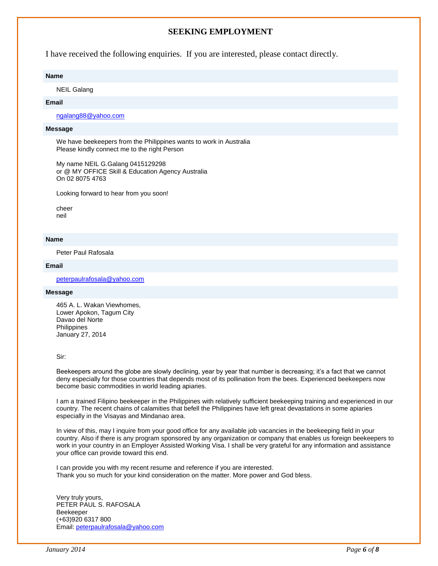#### **SEEKING EMPLOYMENT**

I have received the following enquiries. If you are interested, please contact directly.

#### **Name**

NEIL Galang

#### **Email**

[ngalang88@yahoo.com](mailto:ngalang88@yahoo.com)

#### **Message**

We have beekeepers from the Philippines wants to work in Australia Please kindly connect me to the right Person

My name NEIL G.Galang 0415129298 or @ MY OFFICE Skill & Education Agency Australia On 02 8075 4763

Looking forward to hear from you soon!

cheer neil

#### **Name**

Peter Paul Rafosala

#### **Email**

[peterpaulrafosala@yahoo.com](mailto:peterpaulrafosala@yahoo.com)

#### **Message**

465 A. L. Wakan Viewhomes, Lower Apokon, Tagum City Davao del Norte **Philippines** January 27, 2014

#### Sir:

Beekeepers around the globe are slowly declining, year by year that number is decreasing; it's a fact that we cannot deny especially for those countries that depends most of its pollination from the bees. Experienced beekeepers now become basic commodities in world leading apiaries.

I am a trained Filipino beekeeper in the Philippines with relatively sufficient beekeeping training and experienced in our country. The recent chains of calamities that befell the Philippines have left great devastations in some apiaries especially in the Visayas and Mindanao area.

In view of this, may I inquire from your good office for any available job vacancies in the beekeeping field in your country. Also if there is any program sponsored by any organization or company that enables us foreign beekeepers to work in your country in an Employer Assisted Working Visa. I shall be very grateful for any information and assistance your office can provide toward this end.

I can provide you with my recent resume and reference if you are interested. Thank you so much for your kind consideration on the matter. More power and God bless.

Very truly yours, PETER PAUL S. RAFOSALA Beekeeper (+63)920 6317 800 Email: [peterpaulrafosala@yahoo.com](mailto:peterpaulrafosala@yahoo.com)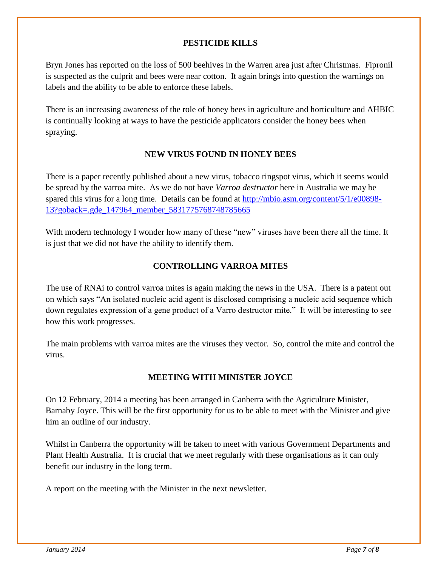### **PESTICIDE KILLS**

Bryn Jones has reported on the loss of 500 beehives in the Warren area just after Christmas. Fipronil is suspected as the culprit and bees were near cotton. It again brings into question the warnings on labels and the ability to be able to enforce these labels.

There is an increasing awareness of the role of honey bees in agriculture and horticulture and AHBIC is continually looking at ways to have the pesticide applicators consider the honey bees when spraying.

# **NEW VIRUS FOUND IN HONEY BEES**

There is a paper recently published about a new virus, tobacco ringspot virus, which it seems would be spread by the varroa mite. As we do not have *Varroa destructor* here in Australia we may be spared this virus for a long time. Details can be found at [http://mbio.asm.org/content/5/1/e00898-](http://mbio.asm.org/content/5/1/e00898-13?goback=.gde_147964_member_5831775768748785665) [13?goback=.gde\\_147964\\_member\\_5831775768748785665](http://mbio.asm.org/content/5/1/e00898-13?goback=.gde_147964_member_5831775768748785665)

With modern technology I wonder how many of these "new" viruses have been there all the time. It is just that we did not have the ability to identify them.

### **CONTROLLING VARROA MITES**

The use of RNAi to control varroa mites is again making the news in the USA. There is a patent out on which says "An isolated nucleic acid agent is disclosed comprising a nucleic acid sequence which down regulates expression of a gene product of a Varro destructor mite." It will be interesting to see how this work progresses.

The main problems with varroa mites are the viruses they vector. So, control the mite and control the virus.

#### **MEETING WITH MINISTER JOYCE**

On 12 February, 2014 a meeting has been arranged in Canberra with the Agriculture Minister, Barnaby Joyce. This will be the first opportunity for us to be able to meet with the Minister and give him an outline of our industry.

Whilst in Canberra the opportunity will be taken to meet with various Government Departments and Plant Health Australia. It is crucial that we meet regularly with these organisations as it can only benefit our industry in the long term.

A report on the meeting with the Minister in the next newsletter.